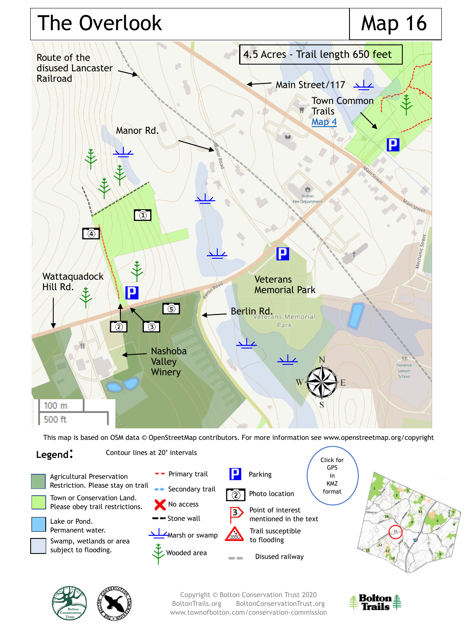

This map is based on OSM data © OpenStreetMap contributors. For more information see www.openstreetmap.org/copyright







Copyright © Bolton Conservation Trust 2020 BoltonTrails.org BoltonConservationTrust.org www.townofbolton.com/conservation-commission

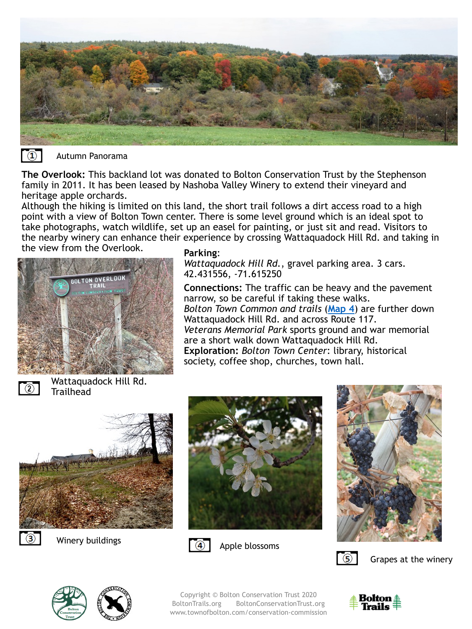



Autumn Panorama

**The Overlook:** This backland lot was donated to Bolton Conservation Trust by the Stephenson family in 2011. It has been leased by Nashoba Valley Winery to extend their vineyard and heritage apple orchards.

Although the hiking is limited on this land, the short trail follows a dirt access road to a high point with a view of Bolton Town center. There is some level ground which is an ideal spot to take photographs, watch wildlife, set up an easel for painting, or just sit and read. Visitors to the nearby winery can enhance their experience by crossing Wattaquadock Hill Rd. and taking in the view from the Overlook. **Parking**:



*Wattaquadock Hill Rd.*, gravel parking area. 3 cars. 42.431556, -71.615250

**Connections:** The traffic can be heavy and the pavement narrow, so be careful if taking these walks. *Bolton Town Common and trails* (**[Map 4](https://boltontrails.org/map4)**) are further down Wattaquadock Hill Rd. and across Route 117. *Veterans Memorial Park* sports ground and war memorial are a short walk down Wattaquadock Hill Rd. **Exploration:** *Bolton Town Center*: library, historical society, coffee shop, churches, town hall.



Wattaquadock Hill Rd. **Trailhead** 



Winery buildings







Grapes at the winery





Copyright © Bolton Conservation Trust 2020 BoltonTrails.org BoltonConservationTrust.org www.townofbolton.com/conservation-commission

Apple blossoms

 $\overline{4}$